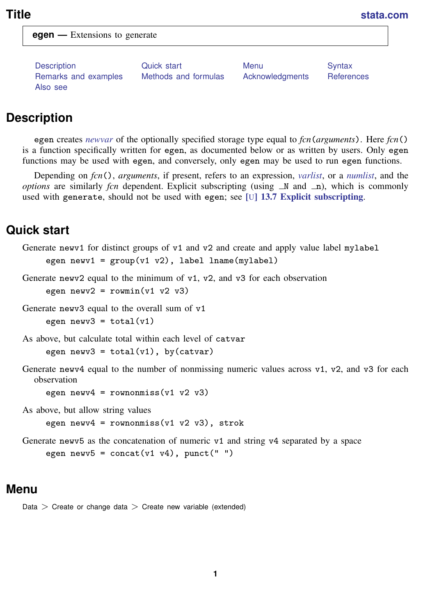<span id="page-0-3"></span>

| egen | Extensions to generate |  |  |
|------|------------------------|--|--|
|------|------------------------|--|--|

[Description](#page-0-0) [Quick start](#page-0-1) [Menu](#page-0-2) [Syntax](#page-1-0) [Remarks and examples](#page-5-0) [Methods and formulas](#page-19-0) [Acknowledgments](#page-19-1) [References](#page-19-2) [Also see](#page-20-0)

# <span id="page-0-0"></span>**Description**

egen creates *[newvar](http://www.stata.com/manuals14/u11.pdf#u11.3Namingconventions)* of the optionally specified storage type equal to *fcn*(*arguments*). Here *fcn*() is a function specifically written for egen, as documented below or as written by users. Only egen functions may be used with egen, and conversely, only egen may be used to run egen functions.

Depending on *fcn*(), *arguments*, if present, refers to an expression, *[varlist](http://www.stata.com/manuals14/u11.pdf#u11.4varlists)*, or a *[numlist](http://www.stata.com/manuals14/u11.pdf#u11.1.8numlist)*, and the *options* are similarly *fcn* dependent. Explicit subscripting (using  $\Box N$  and  $\Box n$ ), which is commonly used with generate, should not be used with egen; see [U[\] 13.7 Explicit subscripting](http://www.stata.com/manuals14/u13.pdf#u13.7Explicitsubscripting).

# <span id="page-0-1"></span>**Quick start**

```
Generate newv1 for distinct groups of v1 and v2 and create and apply value label mylabel
     egen newv1 = group(v1 v2), label lname(mylabel)
```
Generate newv2 equal to the minimum of  $v1$ ,  $v2$ , and  $v3$  for each observation egen newv $2 = \text{rown}(v1 \ v2 \ v3)$ 

```
Generate newv3 equal to the overall sum of v1
     egen newv3 = total(v1)
```
As above, but calculate total within each level of catvar egen newv3 = total(v1), by(catvar)

Generate newv4 equal to the number of nonmissing numeric values across  $v1$ ,  $v2$ , and  $v3$  for each observation

egen newv4 = rownonmiss(v1 v2 v3)

As above, but allow string values egen newv $4 =$  rownonmiss(v1 v2 v3), strok

<span id="page-0-2"></span>Generate newv5 as the concatenation of numeric  $v1$  and string  $v4$  separated by a space egen newv5 =  $concat(v1 v4)$ , punct("")

# **Menu**

Data  $>$  Create or change data  $>$  Create new variable (extended)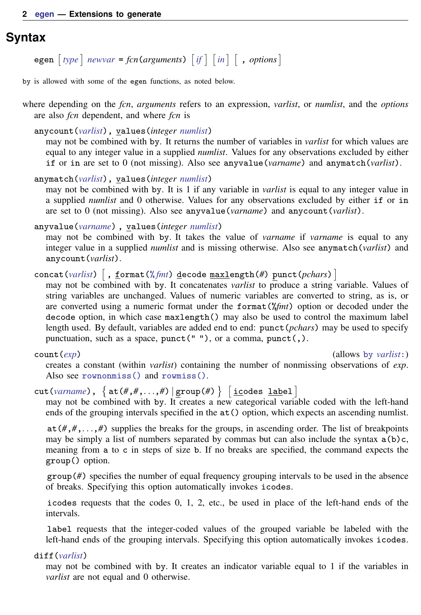# <span id="page-1-0"></span>**Syntax**

```
in{bmatrix} \text{teigen} \end{bmatrix} newvar = fcn(arguments) if} \end{bmatrix} \begin{bmatrix} \text{in} \end{bmatrix} , options
```
by is allowed with some of the egen functions, as noted below.

where depending on the *fcn*, *arguments* refers to an expression, *varlist*, or *numlist*, and the *options* are also *fcn* dependent, and where *fcn* is

```
anycount(varlist), values(integer numlist)
```
may not be combined with by. It returns the number of variables in *varlist* for which values are equal to any integer value in a supplied *numlist*. Values for any observations excluded by either if or in are set to 0 (not missing). Also see anyvalue(*varname*) and anymatch(*varlist*).

anymatch(*[varlist](http://www.stata.com/manuals14/u11.pdf#u11.4varlists)*), values(*integer [numlist](http://www.stata.com/manuals14/u11.pdf#u11.1.8numlist)*)

may not be combined with by. It is 1 if any variable in *varlist* is equal to any integer value in a supplied *numlist* and 0 otherwise. Values for any observations excluded by either if or in are set to 0 (not missing). Also see anyvalue(*varname*) and anycount(*varlist*).

#### anyvalue(*[varname](http://www.stata.com/manuals14/u11.pdf#u11.3Namingconventions)*) , values(*integer [numlist](http://www.stata.com/manuals14/u11.pdf#u11.1.8numlist)*)

may not be combined with by. It takes the value of *varname* if *varname* is equal to any integer value in a supplied *numlist* and is missing otherwise. Also see anymatch(*varlist*) and anycount(*varlist*).

## concat(*[varlist](http://www.stata.com/manuals14/u11.pdf#u11.4varlists)*) | , <u>f</u>ormat(% *[fmt](http://www.stata.com/manuals14/d.pdf#dformat)*) decode <u>maxl</u>ength(#) punct(*pchars*) |

may not be combined with by. It concatenates *varlist* to produce a string variable. Values of string variables are unchanged. Values of numeric variables are converted to string, as is, or are converted using a numeric format under the format(%*fmt*) option or decoded under the decode option, in which case maxlength() may also be used to control the maximum label length used. By default, variables are added end to end: punct(*pchars*) may be used to specify punctuation, such as a space, punct(" "), or a comma, punct(,).

count(*[exp](http://www.stata.com/manuals14/u13.pdf#u13Functionsandexpressions)*) (allows by *[varlist](http://www.stata.com/manuals14/u11.pdf#u11.1.2byvarlist)*:)

creates a constant (within *varlist*) containing the number of nonmissing observations of *exp*. Also see [rownonmiss\(\)](#page-4-0) and [rowmiss\(\)](#page-4-1).

## cut(*[varname](http://www.stata.com/manuals14/u11.pdf#u11.3Namingconventions)*), { at(#,#,...,#) | group(#) } [icodes label]

may not be combined with by. It creates a new categorical variable coded with the left-hand ends of the grouping intervals specified in the at() option, which expects an ascending numlist.

 $at(\#,\#,\ldots,\#)$  supplies the breaks for the groups, in ascending order. The list of breakpoints may be simply a list of numbers separated by commas but can also include the syntax  $a(b)c$ , meaning from a to c in steps of size b. If no breaks are specified, the command expects the group() option.

group(*#*) specifies the number of equal frequency grouping intervals to be used in the absence of breaks. Specifying this option automatically invokes icodes.

icodes requests that the codes 0, 1, 2, etc., be used in place of the left-hand ends of the intervals.

label requests that the integer-coded values of the grouped variable be labeled with the left-hand ends of the grouping intervals. Specifying this option automatically invokes icodes.

#### diff(*[varlist](http://www.stata.com/manuals14/u11.pdf#u11.4varlists)*)

may not be combined with by. It creates an indicator variable equal to 1 if the variables in *varlist* are not equal and 0 otherwise.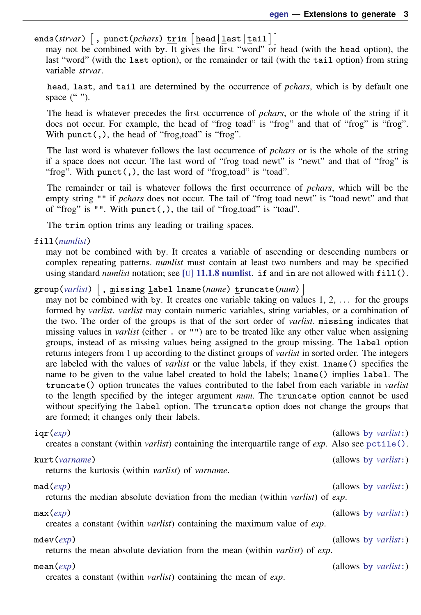ends(*strvar*) |, punct(*pchars*) <u>tr</u>im | head | last | tail | |

may not be combined with by. It gives the first "word" or head (with the head option), the last "word" (with the last option), or the remainder or tail (with the tail option) from string variable *strvar*.

head, last, and tail are determined by the occurrence of *pchars*, which is by default one space  $($ " " $)$ .

The head is whatever precedes the first occurrence of *pchars*, or the whole of the string if it does not occur. For example, the head of "frog toad" is "frog" and that of "frog" is "frog". With  $punct($ ,), the head of "frog,toad" is "frog".

The last word is whatever follows the last occurrence of *pchars* or is the whole of the string if a space does not occur. The last word of "frog toad newt" is "newt" and that of "frog" is "frog". With punct(,), the last word of "frog,toad" is "toad".

The remainder or tail is whatever follows the first occurrence of *pchars*, which will be the empty string "" if *pchars* does not occur. The tail of "frog toad newt" is "toad newt" and that of "frog" is "". With punct(,), the tail of "frog,toad" is "toad".

The trim option trims any leading or trailing spaces.

fill(*[numlist](http://www.stata.com/manuals14/u11.pdf#u11.1.8numlist)*)

may not be combined with by. It creates a variable of ascending or descending numbers or complex repeating patterns. *numlist* must contain at least two numbers and may be specified using standard *numlist* notation; see [U[\] 11.1.8 numlist](http://www.stata.com/manuals14/u11.pdf#u11.1.8numlist). if and in are not allowed with fill().

## <span id="page-2-2"></span>group(*[varlist](http://www.stata.com/manuals14/u11.pdf#u11.4varlists)*)  $\left[$  , <u>m</u>issing <u>l</u>abel lname(*name*) <u>t</u>runcate(*num*)  $\left[$

may not be combined with by. It creates one variable taking on values 1, 2, . . . for the groups formed by *varlist*. *varlist* may contain numeric variables, string variables, or a combination of the two. The order of the groups is that of the sort order of *varlist*. missing indicates that missing values in *varlist* (either . or "") are to be treated like any other value when assigning groups, instead of as missing values being assigned to the group missing. The label option returns integers from 1 up according to the distinct groups of *varlist* in sorted order. The integers are labeled with the values of *varlist* or the value labels, if they exist. lname() specifies the name to be given to the value label created to hold the labels; lname() implies label. The truncate() option truncates the values contributed to the label from each variable in *varlist* to the length specified by the integer argument *num*. The truncate option cannot be used without specifying the label option. The truncate option does not change the groups that are formed; it changes only their labels.

<span id="page-2-1"></span><span id="page-2-0"></span>

| iqr(exp)<br>creates a constant (within <i>varlist</i> ) containing the interquartile range of $exp$ . Also see pctile(). | (allows by <i>varlist</i> :) |
|--------------------------------------------------------------------------------------------------------------------------|------------------------------|
| kurt( <i>varname</i> )<br>returns the kurtosis (within <i>varlist</i> ) of <i>varname</i> .                              | (allows by <i>varlist</i> :) |
| mad(exp)<br>returns the median absolute deviation from the median (within <i>varlist</i> ) of <i>exp</i> .               | (allows by <i>varlist</i> :) |
| max( <i>exp</i> )<br>creates a constant (within <i>varlist</i> ) containing the maximum value of <i>exp</i> .            | (allows by <i>varlist</i> :) |
| mdev( <i>exp</i> )<br>returns the mean absolute deviation from the mean (within <i>varlist</i> ) of <i>exp</i> .         | (allows by <i>varlist</i> :) |
| mean(exp)<br>creates a constant (within <i>varlist</i> ) containing the mean of <i>exp</i> .                             | (allows by <i>varlist</i> :) |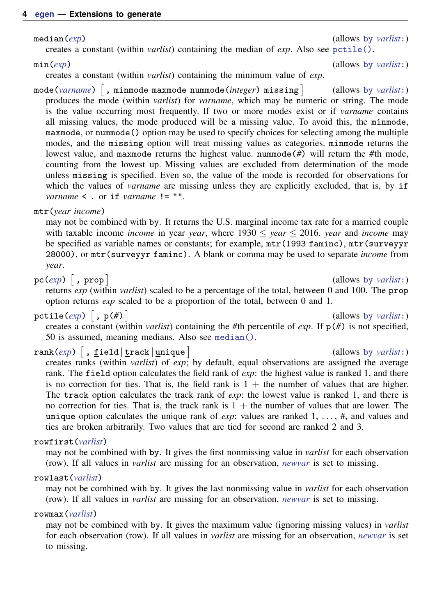median(*[exp](http://www.stata.com/manuals14/u13.pdf#u13Functionsandexpressions)*) (allows by *[varlist](http://www.stata.com/manuals14/u11.pdf#u11.1.2byvarlist)*:)

creates a constant (within *varlist*) containing the median of *exp*. Also see [pctile\(\)](#page-3-0).

min(*[exp](http://www.stata.com/manuals14/u13.pdf#u13Functionsandexpressions)*) (allows by *[varlist](http://www.stata.com/manuals14/u11.pdf#u11.1.2byvarlist)*:)

creates a constant (within *varlist*) containing the minimum value of *exp*.

mode(*[varname](http://www.stata.com/manuals14/u11.pdf#u11.3Namingconventions)*) - , minmode maxmode nummode(*integer*) missing (allows by *[varlist](http://www.stata.com/manuals14/u11.pdf#u11.1.2byvarlist)*:) produces the mode (within *varlist*) for *varname*, which may be numeric or string. The mode is the value occurring most frequently. If two or more modes exist or if *varname* contains all missing values, the mode produced will be a missing value. To avoid this, the minmode, maxmode, or nummode() option may be used to specify choices for selecting among the multiple modes, and the missing option will treat missing values as categories. minmode returns the lowest value, and maxmode returns the highest value. nummode(*#*) will return the *#*th mode, counting from the lowest up. Missing values are excluded from determination of the mode unless missing is specified. Even so, the value of the mode is recorded for observations for which the values of *varname* are missing unless they are explicitly excluded, that is, by if *varname* < . or if *varname* != "".

#### mtr(*year income*)

may not be combined with by. It returns the U.S. marginal income tax rate for a married couple with taxable income *income* in year *year*, where 1930 ≤ *year* ≤ 2016. *year* and *income* may be specified as variable names or constants; for example, mtr(1993 faminc), mtr(surveyyr 28000), or mtr(surveyyr faminc). A blank or comma may be used to separate *income* from *year*.

 $\mathtt{pc}(\mathit{exp})$  $\mathtt{pc}(\mathit{exp})$  $\mathtt{pc}(\mathit{exp})$   $[$  ,  $\mathtt{prop}]$ 

(allows by *[varlist](http://www.stata.com/manuals14/u11.pdf#u11.1.2byvarlist)*:)

returns *exp* (within *varlist*) scaled to be a percentage of the total, between 0 and 100. The prop option returns *exp* scaled to be a proportion of the total, between 0 and 1.

<span id="page-3-0"></span> $\textnormal{pctile}(\textnormal{\textit{exp}})\, \bigm[\, , \, \textnormal{p}(\textnormal{\textit{\#}})\, \bigm]\,$  $\textnormal{pctile}(\textnormal{\textit{exp}})\, \bigm[\, , \, \textnormal{p}(\textnormal{\textit{\#}})\, \bigm]\,$  $\textnormal{pctile}(\textnormal{\textit{exp}})\, \bigm[\, , \, \textnormal{p}(\textnormal{\textit{\#}})\, \bigm]\,$ 

(allows by *[varlist](http://www.stata.com/manuals14/u11.pdf#u11.1.2byvarlist)*:) creates a constant (within *varlist*) containing the *#*th percentile of *exp*. If p(*#*) is not specified, 50 is assumed, meaning medians. Also see [median\(\)](#page-2-0).

 $\texttt{rank}(\textit{exp}) \, \, \big\vert \, , \, \underline{\texttt{field}} \, \vert \, \underline{\texttt{track}} \, \vert \, \underline{\texttt{unique}} \, \big\vert$  $\texttt{rank}(\textit{exp}) \, \, \big\vert \, , \, \underline{\texttt{field}} \, \vert \, \underline{\texttt{track}} \, \vert \, \underline{\texttt{unique}} \, \big\vert$  $\texttt{rank}(\textit{exp}) \, \, \big\vert \, , \, \underline{\texttt{field}} \, \vert \, \underline{\texttt{track}} \, \vert \, \underline{\texttt{unique}} \, \big\vert$ 

(allows by *[varlist](http://www.stata.com/manuals14/u11.pdf#u11.1.2byvarlist)*:) creates ranks (within *varlist*) of *exp*; by default, equal observations are assigned the average rank. The field option calculates the field rank of *exp*: the highest value is ranked 1, and there is no correction for ties. That is, the field rank is  $1 +$  the number of values that are higher. The track option calculates the track rank of *exp*: the lowest value is ranked 1, and there is no correction for ties. That is, the track rank is  $1 +$  the number of values that are lower. The unique option calculates the unique rank of *exp*: values are ranked 1, . . . , #, and values and ties are broken arbitrarily. Two values that are tied for second are ranked 2 and 3.

#### rowfirst(*[varlist](http://www.stata.com/manuals14/u11.pdf#u11.4varlists)*)

may not be combined with by. It gives the first nonmissing value in *varlist* for each observation (row). If all values in *varlist* are missing for an observation, *[newvar](http://www.stata.com/manuals14/u11.pdf#u11.3Namingconventions)* is set to missing.

rowlast(*[varlist](http://www.stata.com/manuals14/u11.pdf#u11.4varlists)*)

may not be combined with by. It gives the last nonmissing value in *varlist* for each observation (row). If all values in *varlist* are missing for an observation, *[newvar](http://www.stata.com/manuals14/u11.pdf#u11.3Namingconventions)* is set to missing.

#### rowmax(*[varlist](http://www.stata.com/manuals14/u11.pdf#u11.4varlists)*)

may not be combined with by. It gives the maximum value (ignoring missing values) in *varlist* for each observation (row). If all values in *varlist* are missing for an observation, *[newvar](http://www.stata.com/manuals14/u11.pdf#u11.3Namingconventions)* is set to missing.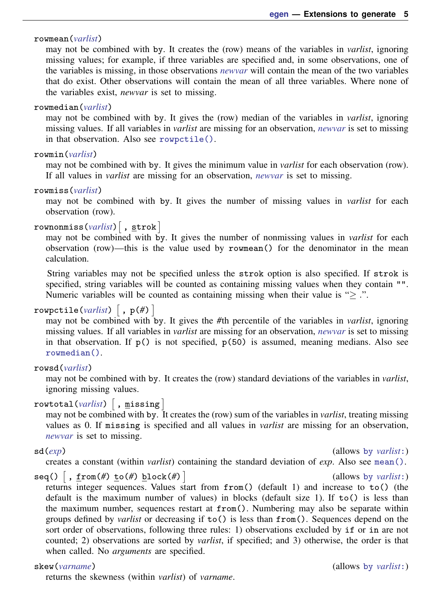#### rowmean(*[varlist](http://www.stata.com/manuals14/u11.pdf#u11.4varlists)*)

may not be combined with by. It creates the (row) means of the variables in *varlist*, ignoring missing values; for example, if three variables are specified and, in some observations, one of the variables is missing, in those observations *[newvar](http://www.stata.com/manuals14/u11.pdf#u11.3Namingconventions)* will contain the mean of the two variables that do exist. Other observations will contain the mean of all three variables. Where none of the variables exist, *newvar* is set to missing.

#### <span id="page-4-3"></span>rowmedian(*[varlist](http://www.stata.com/manuals14/u11.pdf#u11.4varlists)*)

may not be combined with by. It gives the (row) median of the variables in *varlist*, ignoring missing values. If all variables in *varlist* are missing for an observation, *[newvar](http://www.stata.com/manuals14/u11.pdf#u11.3Namingconventions)* is set to missing in that observation. Also see [rowpctile\(\)](#page-4-2).

#### rowmin(*[varlist](http://www.stata.com/manuals14/u11.pdf#u11.4varlists)*)

may not be combined with by. It gives the minimum value in *varlist* for each observation (row). If all values in *varlist* are missing for an observation, *[newvar](http://www.stata.com/manuals14/u11.pdf#u11.3Namingconventions)* is set to missing.

#### <span id="page-4-1"></span>rowmiss(*[varlist](http://www.stata.com/manuals14/u11.pdf#u11.4varlists)*)

may not be combined with by. It gives the number of missing values in *varlist* for each observation (row).

# <span id="page-4-0"></span>rownonmiss(*[varlist](http://www.stata.com/manuals14/u11.pdf#u11.4varlists)*)  $[$  , <u>s</u>trok  $]$

may not be combined with by. It gives the number of nonmissing values in *varlist* for each observation (row)—this is the value used by rowmean() for the denominator in the mean calculation.

String variables may not be specified unless the strok option is also specified. If strok is specified, string variables will be counted as containing missing values when they contain "". Numeric variables will be counted as containing missing when their value is " $>$ ".

# <span id="page-4-2"></span>rowpctile( $\mathit{variable}($

may not be combined with by. It gives the *#*th percentile of the variables in *varlist*, ignoring missing values. If all variables in *varlist* are missing for an observation, *[newvar](http://www.stata.com/manuals14/u11.pdf#u11.3Namingconventions)* is set to missing in that observation. If  $p()$  is not specified,  $p(50)$  is assumed, meaning medians. Also see [rowmedian\(\)](#page-4-3).

#### rowsd(*[varlist](http://www.stata.com/manuals14/u11.pdf#u11.4varlists)*)

may not be combined with by. It creates the (row) standard deviations of the variables in *varlist*, ignoring missing values.

## $\texttt{rowtotal}(\textit{varlist})$  $\texttt{rowtotal}(\textit{varlist})$  $\texttt{rowtotal}(\textit{varlist})$   $\big\lceil$  ,  $\texttt{\underline{m}issing}\big\rceil$

may not be combined with by. It creates the (row) sum of the variables in *varlist*, treating missing values as 0. If missing is specified and all values in *varlist* are missing for an observation, *[newvar](http://www.stata.com/manuals14/u11.pdf#u11.3Namingconventions)* is set to missing.

sd(*[exp](http://www.stata.com/manuals14/u13.pdf#u13Functionsandexpressions)*) (allows by *[varlist](http://www.stata.com/manuals14/u11.pdf#u11.1.2byvarlist)*:)

creates a constant (within *varlist*) containing the standard deviation of *exp*. Also see [mean\(\)](#page-2-1).

seq()  $\lceil$ , <u>f</u>rom(#) <u>t</u>o(#) <u>b</u>lock(#)  $\rceil$ (allows by *[varlist](http://www.stata.com/manuals14/u11.pdf#u11.1.2byvarlist)*:) returns integer sequences. Values start from from() (default 1) and increase to to() (the default is the maximum number of values) in blocks (default size 1). If to() is less than the maximum number, sequences restart at from(). Numbering may also be separate within groups defined by *varlist* or decreasing if to() is less than from(). Sequences depend on the sort order of observations, following three rules: 1) observations excluded by if or in are not counted; 2) observations are sorted by *varlist*, if specified; and 3) otherwise, the order is that when called. No *arguments* are specified.

returns the skewness (within *varlist*) of *varname*.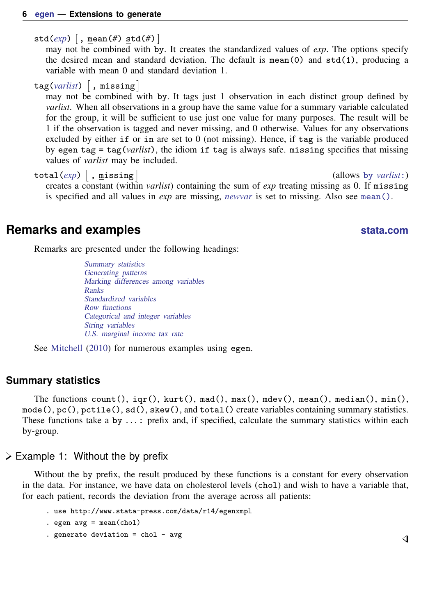#### std $(exp)$  $(exp)$  $(exp)$   $[$ , mean $(\#)$  std $(\#)$   $]$

may not be combined with by. It creates the standardized values of *exp*. The options specify the desired mean and standard deviation. The default is mean(0) and std(1), producing a variable with mean 0 and standard deviation 1.

## $\texttt{tag}(varlist)$  $\texttt{tag}(varlist)$  $\texttt{tag}(varlist)$   $\big\lceil$  ,  $\texttt{\underline{m}}$  issing  $\big\rceil$

may not be combined with by. It tags just 1 observation in each distinct group defined by *varlist*. When all observations in a group have the same value for a summary variable calculated for the group, it will be sufficient to use just one value for many purposes. The result will be 1 if the observation is tagged and never missing, and 0 otherwise. Values for any observations excluded by either if or in are set to  $0$  (not missing). Hence, if tag is the variable produced by egen tag = tag(*varlist*), the idiom if tag is always safe. missing specifies that missing values of *varlist* may be included.

```
exp}) \big\lceil , \texttt{missing} \big\rceil
```
creates a constant (within *varlist*) containing the sum of *exp* treating missing as 0. If missing is specified and all values in *exp* are missing, *[newvar](http://www.stata.com/manuals14/u11.pdf#u11.3Namingconventions)* is set to missing. Also see [mean\(\)](#page-2-1).

# <span id="page-5-0"></span>**Remarks and examples [stata.com](http://stata.com)**

(allows by *[varlist](http://www.stata.com/manuals14/u11.pdf#u11.1.2byvarlist)*:)

Remarks are presented under the following headings:

[Summary statistics](#page-5-1) [Generating patterns](#page-7-0) [Marking differences among variables](#page-10-0) [Ranks](#page-10-1) [Standardized variables](#page-11-0) [Row functions](#page-12-0) [Categorical and integer variables](#page-14-0) [String variables](#page-16-0) [U.S. marginal income tax rate](#page-18-0)

<span id="page-5-1"></span>See [Mitchell](#page-20-1) [\(2010\)](#page-20-1) for numerous examples using egen.

## **Summary statistics**

The functions  $count(), iqr(), kurt(), mad(), max(), mdev(), mean(), median(), min(),$ mode(), pc(), pctile(), sd(), skew(), and total() create variables containing summary statistics. These functions take a by . . . : prefix and, if specified, calculate the summary statistics within each by-group.

 $\triangleright$  Example 1: Without the by prefix

Without the by prefix, the result produced by these functions is a constant for every observation in the data. For instance, we have data on cholesterol levels (chol) and wish to have a variable that, for each patient, records the deviation from the average across all patients:

- . use http://www.stata-press.com/data/r14/egenxmpl
- . egen  $avg = mean(chol)$
- . generate deviation =  $chol avg$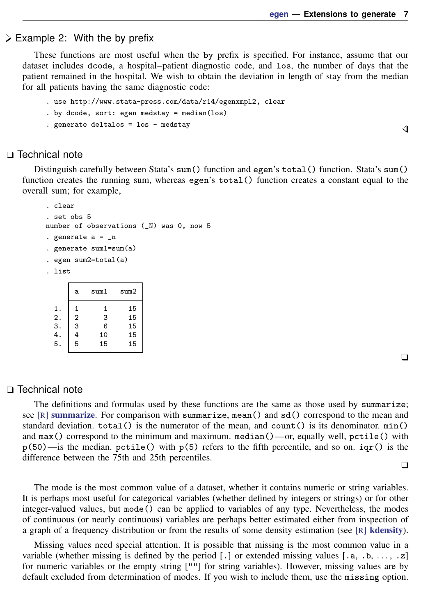#### $\triangleright$  Example 2: With the by prefix

These functions are most useful when the by prefix is specified. For instance, assume that our dataset includes dcode, a hospital–patient diagnostic code, and los, the number of days that the patient remained in the hospital. We wish to obtain the deviation in length of stay from the median for all patients having the same diagnostic code:

```
. use http://www.stata-press.com/data/r14/egenxmpl2, clear
```

```
. by dcode, sort: egen medstay = median(los)
```
. generate deltalos = los - medstay

## □ Technical note

Distinguish carefully between Stata's sum() function and egen's total() function. Stata's sum() function creates the running sum, whereas egen's total() function creates a constant equal to the overall sum; for example,

```
. clear
. set obs 5
number of observations (_N) was 0, now 5
. generate a = n. generate sum1=sum(a)
. egen sum2=total(a)
. list
     a sum1 sum2
 1. 1 1 15
 2. 2 3 15
 3. 3 6 15
 4. 4 10 15
 5. 5 15 15
```
 $\Box$ 

◁

## □ Technical note

The definitions and formulas used by these functions are the same as those used by summarize; see  $[R]$  [summarize](http://www.stata.com/manuals14/rsummarize.pdf#rsummarize). For comparison with summarize, mean() and  $sd($ ) correspond to the mean and standard deviation, total() is the numerator of the mean, and count() is its denominator,  $min()$ and max() correspond to the minimum and maximum. median()—or, equally well, pctile() with  $p(50)$ —is the median. pctile() with  $p(5)$  refers to the fifth percentile, and so on. iqr() is the difference between the 75th and 25th percentiles.  $\Box$ 

The mode is the most common value of a dataset, whether it contains numeric or string variables. It is perhaps most useful for categorical variables (whether defined by integers or strings) or for other integer-valued values, but mode() can be applied to variables of any type. Nevertheless, the modes of continuous (or nearly continuous) variables are perhaps better estimated either from inspection of a graph of a frequency distribution or from the results of some density estimation (see  $[R]$  [kdensity](http://www.stata.com/manuals14/rkdensity.pdf#rkdensity)).

Missing values need special attention. It is possible that missing is the most common value in a variable (whether missing is defined by the period  $[ . ]$  or extended missing values  $[ .a, .b, \ldots, .z]$ for numeric variables or the empty string [""] for string variables). However, missing values are by default excluded from determination of modes. If you wish to include them, use the missing option.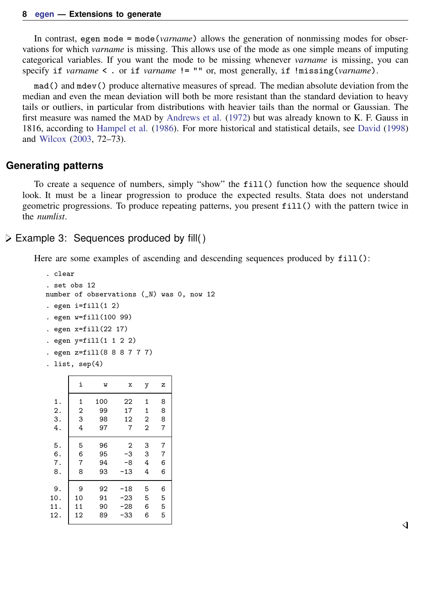In contrast, egen mode = mode(*varname*) allows the generation of nonmissing modes for observations for which *varname* is missing. This allows use of the mode as one simple means of imputing categorical variables. If you want the mode to be missing whenever *varname* is missing, you can specify if *varname* < . or if *varname* != "" or, most generally, if !missing(*varname*).

mad() and mdev() produce alternative measures of spread. The median absolute deviation from the median and even the mean deviation will both be more resistant than the standard deviation to heavy tails or outliers, in particular from distributions with heavier tails than the normal or Gaussian. The first measure was named the MAD by [Andrews et al.](#page-19-3) [\(1972\)](#page-19-3) but was already known to K. F. Gauss in 1816, according to [Hampel et al.](#page-20-2) ([1986](#page-20-2)). For more historical and statistical details, see [David](#page-20-3) ([1998\)](#page-20-3) and [Wilcox](#page-20-4) ([2003,](#page-20-4) 72–73).

## <span id="page-7-0"></span>**Generating patterns**

To create a sequence of numbers, simply "show" the fill() function how the sequence should look. It must be a linear progression to produce the expected results. Stata does not understand geometric progressions. To produce repeating patterns, you present fill() with the pattern twice in the *numlist*.

Example 3: Sequences produced by fill( )

Here are some examples of ascending and descending sequences produced by  $fill()$ :

```
. clear
. set obs 12
number of observations (_N) was 0, now 12
. egen i=fill(1 2). egen w=fill(100 99)
. egen x=fill(22 17)
. egen y=fill(1 1 2 2)
. egen z=fill(8 8 8 7 7 7)
. list, sep(4)
```

|     | i  | W   | х              | y              | z              |
|-----|----|-----|----------------|----------------|----------------|
| 1.  | 1  | 100 | 22             | 1              | 8              |
| 2.  | 2  | 99  | 17             | 1              | 8              |
| 3.  | 3  | 98  | 12             | 2              | 8              |
| 4.  | 4  | 97  | 7              | $\overline{2}$ | $\overline{7}$ |
| 5.  | 5  | 96  | $\overline{2}$ | 3              | 7              |
| 6.  | 6  | 95  | -3             | 3              | 7              |
| 7.  | 7  | 94  | $-8$           | 4              | 6              |
| 8.  | 8  | 93  | $-13$          | 4              | 6              |
| 9.  | 9  | 92  | $-18$          | 5              | 6              |
| 10. | 10 | 91  | $-23$          | 5              | 5              |
| 11. | 11 | 90  | $-28$          | 6              | 5              |
| 12. | 12 | 89  | $-33$          | 6              | 5              |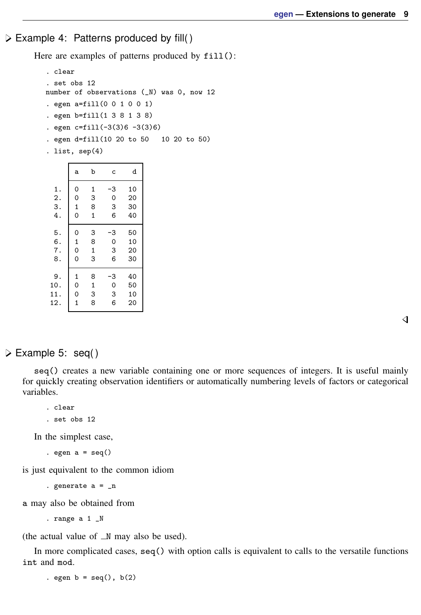$\triangleright$  Example 4: Patterns produced by fill()

Here are examples of patterns produced by  $fill()$ :

```
. clear
. set obs 12
number of observations (_N) was 0, now 12
. egen a=fill(0 0 1 0 0 1)
. egen b=fill(1 3 8 1 3 8)
. egen c=fill(-3(3)6 -3(3)6)
. egen d=fill(10 20 to 50 10 20 to 50)
. list, sep(4)
```

|     | а | b            | c  | d  |
|-----|---|--------------|----|----|
| 1.  | 0 | 1            | -3 | 10 |
| 2.  | 0 | 3            | 0  | 20 |
| 3.  | 1 | 8            | 3  | 30 |
| 4.  | 0 | $\mathbf{1}$ | 6  | 40 |
| 5.  | 0 | 3            | .ვ | 50 |
| 6.  | 1 | 8            | 0  | 10 |
| 7.  | 0 | 1            | 3  | 20 |
| 8.  | O | 3            | 6  | 30 |
| 9.  | 1 | 8            | -3 | 40 |
| 10. | 0 | 1            | 0  | 50 |
| 11. | 0 | 3            | 3  | 10 |
| 12. | 1 | 8            | 6  | 20 |

Example 5: seq( )

seq() creates a new variable containing one or more sequences of integers. It is useful mainly for quickly creating observation identifiers or automatically numbering levels of factors or categorical variables.

```
. clear
. set obs 12
```
In the simplest case,

```
. egen a = seq()
```
is just equivalent to the common idiom

. generate a = \_n

a may also be obtained from

. range a 1 N

(the actual value of  $_N$  may also be used).

In more complicated cases, seq() with option calls is equivalent to calls to the versatile functions int and mod.

. egen  $b = seq()$ ,  $b(2)$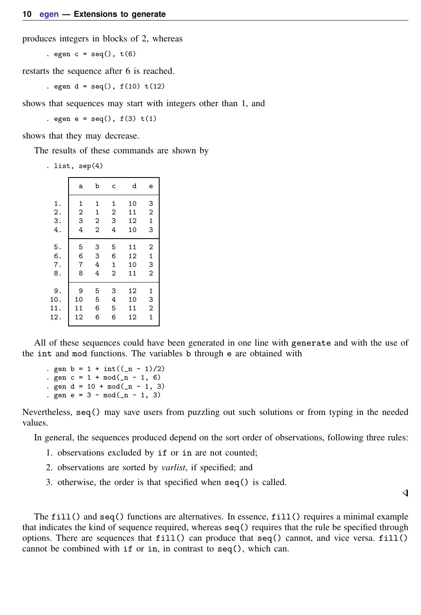produces integers in blocks of 2, whereas

. egen  $c = seq()$ ,  $t(6)$ 

restarts the sequence after 6 is reached.

. egen  $d = \text{seq}()$ ,  $f(10)$   $t(12)$ 

shows that sequences may start with integers other than 1, and

. egen e = seq(),  $f(3) t(1)$ 

shows that they may decrease.

The results of these commands are shown by

. list, sep(4)

|               | a              | b              | с              | d  | e              |
|---------------|----------------|----------------|----------------|----|----------------|
| 1.            | 1              | 1              | 1              | 10 | 3              |
| $\mathbf 2$ . | $\overline{a}$ | $\mathbf 1$    | 2              | 11 | $\overline{a}$ |
| З.            | 3              | 2              | 3              | 12 | $\mathbf 1$    |
| 4.            | 4              | $\overline{2}$ | 4              | 10 | 3              |
| 5.            | 5              | 3              | 5              | 11 | 2              |
| 6.            | 6              | 3              | 6              | 12 | $\mathbf 1$    |
| 7.            | 7              | 4              | $\mathbf{1}$   | 10 | 3              |
| 8.            | 8              | 4              | $\overline{2}$ | 11 | $\overline{2}$ |
| 9.            | 9              | 5              | 3              | 12 | 1              |
| 10.           | 10             | 5              | 4              | 10 | 3              |
| 11.           | 11             | 6              | 5              | 11 | $\overline{a}$ |
| 12.           | 12             | 6              | 6              | 12 | $\mathbf{1}$   |

All of these sequences could have been generated in one line with generate and with the use of the int and mod functions. The variables b through e are obtained with

. gen  $b = 1 + int((-n - 1)/2)$ . gen  $c = 1 + mod(2n - 1, 6)$ . gen  $d = 10 + mod(\boxed{n - 1, 3})$ . gen  $e = 3 - mod(_{n} - 1, 3)$ 

Nevertheless, seq() may save users from puzzling out such solutions or from typing in the needed values.

In general, the sequences produced depend on the sort order of observations, following three rules:

- 1. observations excluded by if or in are not counted;
- 2. observations are sorted by *varlist*, if specified; and
- 3. otherwise, the order is that specified when seq() is called.

 $\triangleleft$ 

The fill() and seq() functions are alternatives. In essence, fill() requires a minimal example that indicates the kind of sequence required, whereas seq() requires that the rule be specified through options. There are sequences that fill() can produce that seq() cannot, and vice versa. fill() cannot be combined with if or in, in contrast to seq(), which can.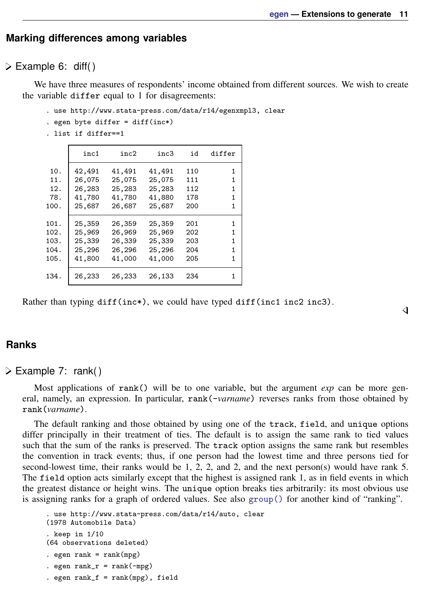## <span id="page-10-0"></span>**Marking differences among variables**

 $\triangleright$  Example 6: diff()

We have three measures of respondents' income obtained from different sources. We wish to create the variable differ equal to 1 for disagreements:

- . use http://www.stata-press.com/data/r14/egenxmpl3, clear
- . egen byte differ =  $diff(inc*)$
- . list if differ==1

|      | inc1   | inc2   | inc3   | id  | differ |
|------|--------|--------|--------|-----|--------|
| 10.  | 42,491 | 41,491 | 41,491 | 110 | 1      |
| 11.  | 26,075 | 25,075 | 25,075 | 111 | 1      |
| 12.  | 26,283 | 25,283 | 25,283 | 112 | 1      |
| 78.  | 41,780 | 41,780 | 41,880 | 178 | 1      |
| 100. | 25,687 | 26,687 | 25,687 | 200 | 1      |
| 101. | 25,359 | 26,359 | 25,359 | 201 | 1      |
| 102. | 25,969 | 26,969 | 25,969 | 202 | 1      |
| 103. | 25,339 | 26,339 | 25,339 | 203 | 1      |
| 104. | 25,296 | 26,296 | 25,296 | 204 | 1      |
| 105. | 41,800 | 41,000 | 41,000 | 205 | 1      |
| 134. | 26,233 | 26,233 | 26,133 | 234 | 1      |

<span id="page-10-1"></span>Rather than typing diff(inc\*), we could have typed diff(inc1 inc2 inc3).

## **Ranks**

## Example 7: rank( )

Most applications of rank() will be to one variable, but the argument *exp* can be more general, namely, an expression. In particular, rank(-*varname*) reverses ranks from those obtained by rank(*varname*).

The default ranking and those obtained by using one of the track, field, and unique options differ principally in their treatment of ties. The default is to assign the same rank to tied values such that the sum of the ranks is preserved. The track option assigns the same rank but resembles the convention in track events; thus, if one person had the lowest time and three persons tied for second-lowest time, their ranks would be  $1, 2, 2$ , and  $2$ , and the next person(s) would have rank  $5$ . The field option acts similarly except that the highest is assigned rank 1, as in field events in which the greatest distance or height wins. The unique option breaks ties arbitrarily: its most obvious use is assigning ranks for a graph of ordered values. See also [group\(\)](#page-2-2) for another kind of "ranking".

```
. use http://www.stata-press.com/data/r14/auto, clear
(1978 Automobile Data)
. keep in 1/10
(64 observations deleted)
. egen rank = rank(mpg). egen rank_r = rank(-mpg). egen rank_f = rank(mpg), field
```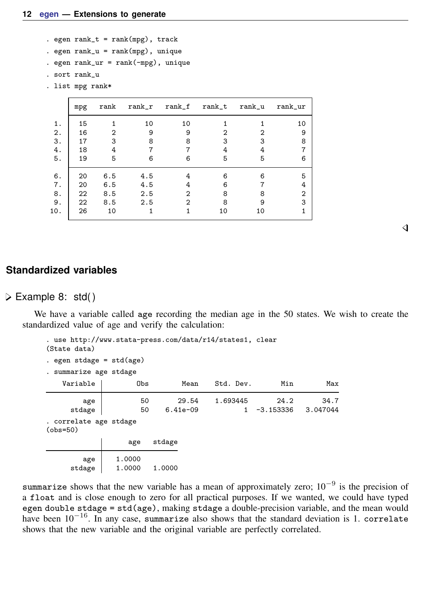- . egen  $rank_t = rank(mpg)$ ,  $track$
- . egen rank\_u = rank(mpg), unique
- . egen rank\_ur = rank(-mpg), unique
- . sort rank\_u
- . list mpg rank\*

|     | mpg | rank | $rank_r$ | $rank_f$       | $rank_t$ | rank_u | rank_ur        |
|-----|-----|------|----------|----------------|----------|--------|----------------|
| 1.  | 15  |      | 10       | 10             |          |        | 10             |
| 2.  | 16  | 2    | 9        | 9              | 2        | 2      | 9              |
| 3.  | 17  | 3    | 8        | 8              | 3        | 3      | 8              |
| 4.  | 18  | 4    |          |                | 4        | 4      | 7              |
| 5.  | 19  | 5    | 6        | 6              | 5        | 5      | 6              |
| 6.  | 20  | 6.5  | 4.5      | 4              | 6        | 6      | 5              |
| 7.  | 20  | 6.5  | 4.5      | 4              | 6        |        | 4              |
| 8.  | 22  | 8.5  | 2.5      | 2              | 8        | 8      | $\overline{2}$ |
| 9.  | 22  | 8.5  | 2.5      | $\overline{2}$ | 8        | 9      | 3              |
| 10. | 26  | 10   |          |                | 10       | 10     | 1              |

## <span id="page-11-0"></span>**Standardized variables**

### $\triangleright$  Example 8: std()

We have a variable called age recording the median age in the 50 states. We wish to create the standardized value of age and verify the calculation:

| . use http://www.stata-press.com/data/r14/states1, clear<br>(State data) |                  |            |       |          |           |                   |                  |
|--------------------------------------------------------------------------|------------------|------------|-------|----------|-----------|-------------------|------------------|
| . egen stdage = $std(age)$                                               |                  |            |       |          |           |                   |                  |
| . summarize age stdage                                                   |                  |            |       |          |           |                   |                  |
| Variable                                                                 | Obs              |            | Mean  |          | Std. Dev. | Min               | Max              |
| age<br>stdage                                                            | 50<br>50         | $6.41e-09$ | 29.54 | 1.693445 | 1.        | 24.2<br>-3.153336 | 34.7<br>3.047044 |
| . correlate age stdage<br>$(obs=50)$                                     |                  |            |       |          |           |                   |                  |
|                                                                          | age              | stdage     |       |          |           |                   |                  |
| age<br>stdage                                                            | 1.0000<br>1.0000 | 1.0000     |       |          |           |                   |                  |

summarize shows that the new variable has a mean of approximately zero;  $10^{-9}$  is the precision of a float and is close enough to zero for all practical purposes. If we wanted, we could have typed egen double stdage = std(age), making stdage a double-precision variable, and the mean would have been 10−16. In any case, summarize also shows that the standard deviation is 1. correlate shows that the new variable and the original variable are perfectly correlated.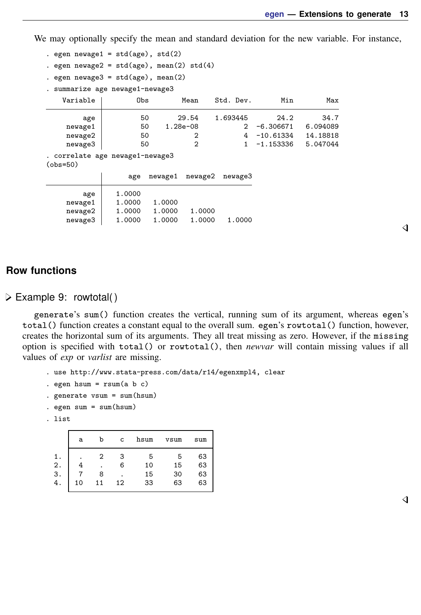We may optionally specify the mean and standard deviation for the new variable. For instance,

```
. egen newage1 = std(age), std(2). egen newage2 = std(age), mean(2) std(4). egen newage3 = std(age), mean(2). summarize age newage1-newage3
    Variable Obs Mean Std. Dev. Min Max
        age 50 29.54 1.693445 24.2 34.7
    newage1 50 1.28e-08 2 -6.306671 6.094089<br>
newage2 50 2 4 -10.61334 14.18818
                      0 2 4 −10.61334 14.18818<br>50 2 1 −1.153336 5.047044
    newage3 50 2 1 -1.153336
. correlate age newage1-newage3
(obs=50)
                   age newage1 newage2 newage3
        age 1.0000<br>ge1 1.0000
    newage1 1.0000 1.0000<br>newage2 1.0000 1.0000
    newage2 1.0000 1.0000 1.0000<br>newage3 1.0000 1.0000 1.0000
                       newage3 1.0000 1.0000 1.0000 1.0000
```
## <span id="page-12-0"></span>**Row functions**

 $\triangleright$  Example 9: rowtotal()

generate's sum() function creates the vertical, running sum of its argument, whereas egen's total() function creates a constant equal to the overall sum. egen's rowtotal() function, however, creates the horizontal sum of its arguments. They all treat missing as zero. However, if the missing option is specified with total() or rowtotal(), then *newvar* will contain missing values if all values of *exp* or *varlist* are missing.

```
. use http://www.stata-press.com/data/r14/egenxmpl4, clear
```

```
. egen hsum = rsum(a b c)
```

```
. generate vsum = sum(hsum)
```

```
. egen sum = sum(hsum)
```

```
. list
```

| a  | b  | c  | hsum | vsum | sum |
|----|----|----|------|------|-----|
|    | 2  | 3  | 5    | 5    | 63  |
| 4  | ٠  | 6  | 10   | 15   | 63  |
|    | 8  |    | 15   | 30   | 63  |
| 10 | 11 | 12 | 33   | 63   | 63  |
|    |    |    |      |      |     |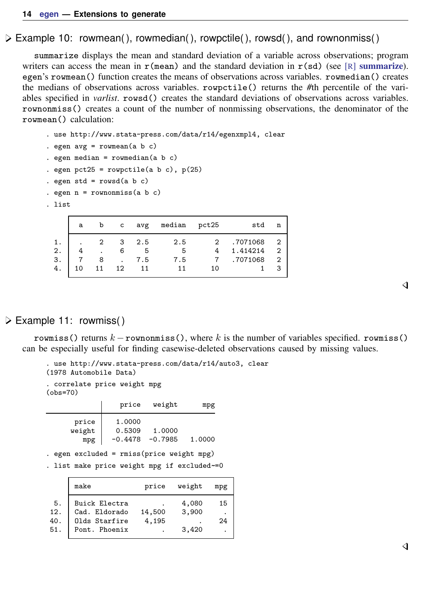#### $\triangleright$  Example 10: rowmean( ), rowmedian( ), rowpctile( ), rowsd( ), and rownonmiss( )

summarize displays the mean and standard deviation of a variable across observations; program writers can access the mean in  $r(\text{mean})$  and the standard deviation in  $r(\text{sd})$  (see [R] [summarize](http://www.stata.com/manuals14/rsummarize.pdf#rsummarize)). egen's rowmean() function creates the means of observations across variables. rowmedian() creates the medians of observations across variables. rowpctile() returns the *#*th percentile of the variables specified in *varlist*. rowsd() creates the standard deviations of observations across variables. rownonmiss() creates a count of the number of nonmissing observations, the denominator of the rowmean() calculation:

```
. use http://www.stata-press.com/data/r14/egenxmpl4, clear
```

```
. egen avg = rowmean(a b c)
```
- . egen median =  $rownedian(a b c)$
- . egen  $pct25 = rowpctile(a b c), p(25)$
- . egen  $std = rowsd(a b c)$

```
. egen n = rownonmiss(a b c)
```
. list

|          | a  | $\mathsf{C}$ | avg       | median   | pct25 | std                  | n      |  |
|----------|----|--------------|-----------|----------|-------|----------------------|--------|--|
| 1.<br>2. |    | 3            | 2.5       | 2.5<br>5 |       | .7071068<br>1.414214 | 2<br>2 |  |
| З.       | 10 | 12           | 7.5<br>11 | 7.5      |       | .7071068             | 2      |  |
| 4.       |    |              |           |          | 10    |                      |        |  |

## $\triangleright$  Example 11: rowmiss()

rowmiss() returns  $k$  – rownonmiss(), where k is the number of variables specified. rowmiss() can be especially useful for finding casewise-deleted observations caused by missing values.

```
. use http://www.stata-press.com/data/r14/auto3, clear
(1978 Automobile Data)
. correlate price weight mpg
(obs=70)
                  price weight mpg
       price 1.0000
      weight 0.5309 1.0000
         mpg -0.4478 -0.7985 1.0000
. egen excluded = rmiss(price weight mpg)
. list make price weight mpg if excluded~
=0
       make price weight mpg
5. Buick Electra . 4,080 15<br>12. Cad. Eldorado 14.500 3.900 .
12. Cad. Eldorado 14,500 3,900 .<br>40. Olds Starfire 4.195 . 24
40. Olds Starfire 4,195 .<br>51. Pont. Phoenix . 3.420
```
Pont. Phoenix . 3.420 .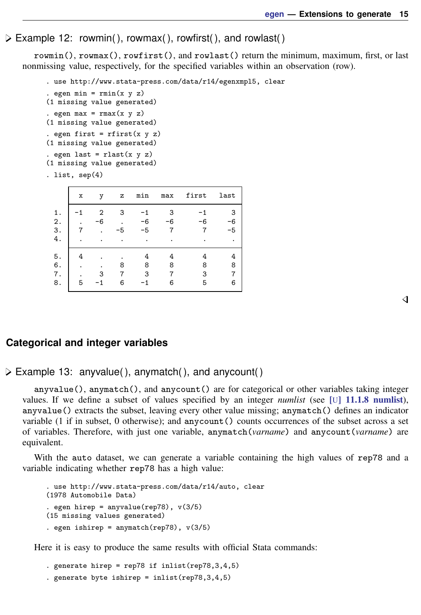### $\triangleright$  Example 12: rowmin(), rowmax(), rowfirst(), and rowlast()

rowmin(), rowmax(), rowfirst(), and rowlast() return the minimum, maximum, first, or last nonmissing value, respectively, for the specified variables within an observation (row).

```
. use http://www.stata-press.com/data/r14/egenxmpl5, clear
. egen min = rmin(x, y, z)(1 missing value generated)
. egen max = rmax(x, y, z)(1 missing value generated)
. egen first = rfirst(x \ y \ z)
(1 missing value generated)
. egen last = rlast(x y z)(1 missing value generated)
. list, sep(4)
```

|                                    | x      | v       | z            | min                   | max          | first            | last          |
|------------------------------------|--------|---------|--------------|-----------------------|--------------|------------------|---------------|
| 1.<br>$\overline{2}$ .<br>З.<br>4. |        | 2<br>-6 | 3<br>-5<br>٠ | $-1$<br>-6<br>-5<br>٠ | 3<br>-6<br>٠ | -6<br>٠          | 3<br>-6<br>-5 |
| 5.<br>6.<br>7.<br>8.               | 4<br>5 | 3       | 8<br>6       | 4<br>8<br>3           | 4<br>8<br>6  | 4<br>8<br>3<br>5 | 4<br>8<br>6   |

## <span id="page-14-0"></span>**Categorical and integer variables**

Example 13: anyvalue( ), anymatch( ), and anycount( )

 $anyvalue()$ ,  $anymatch()$ , and  $anycount()$  are for categorical or other variables taking integer values. If we define a subset of values specified by an integer *numlist* (see [U[\] 11.1.8 numlist](http://www.stata.com/manuals14/u11.pdf#u11.1.8numlist)), anyvalue() extracts the subset, leaving every other value missing; anymatch() defines an indicator variable (1 if in subset, 0 otherwise); and anycount() counts occurrences of the subset across a set of variables. Therefore, with just one variable, anymatch(*varname*) and anycount(*varname*) are equivalent.

With the auto dataset, we can generate a variable containing the high values of rep78 and a variable indicating whether rep78 has a high value:

```
. use http://www.stata-press.com/data/r14/auto, clear
(1978 Automobile Data)
. egen hirep = anyvalue(rep78), v(3/5)(15 missing values generated)
. egen ishirep = anymatch(rep78), v(3/5)
```
Here it is easy to produce the same results with official Stata commands:

- . generate hirep = rep78 if inlist(rep78,3,4,5)
- . generate byte ishirep = inlist(rep78,3,4,5)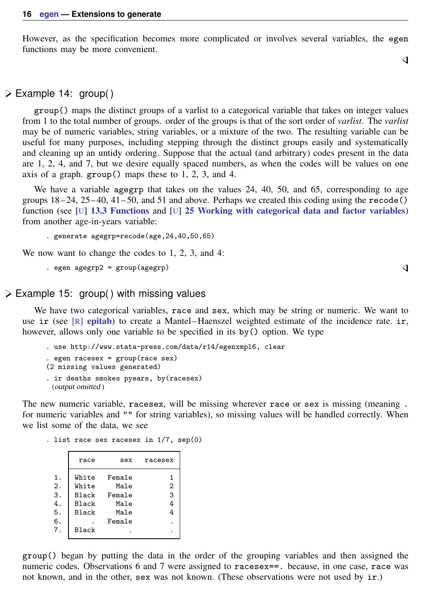However, as the specification becomes more complicated or involves several variables, the egen functions may be more convenient.

## $\triangleright$  Example 14: group()

group() maps the distinct groups of a varlist to a categorical variable that takes on integer values from 1 to the total number of groups. order of the groups is that of the sort order of *varlist*. The *varlist* may be of numeric variables, string variables, or a mixture of the two. The resulting variable can be useful for many purposes, including stepping through the distinct groups easily and systematically and cleaning up an untidy ordering. Suppose that the actual (and arbitrary) codes present in the data are 1, 2, 4, and 7, but we desire equally spaced numbers, as when the codes will be values on one axis of a graph.  $group()$  maps these to  $1, 2, 3$ , and  $4$ .

We have a variable agegrp that takes on the values 24, 40, 50, and 65, corresponding to age groups  $18 - 24$ ,  $25 - 40$ ,  $41 - 50$ , and  $51$  and above. Perhaps we created this coding using the recode() function (see [U[\] 13.3 Functions](http://www.stata.com/manuals14/u13.pdf#u13.3Functions) and [U[\] 25 Working with categorical data and factor variables](http://www.stata.com/manuals14/u25.pdf#u25Workingwithcategoricaldataandfactorvariables)) from another age-in-years variable:

```
. generate agegrp=recode(age,24,40,50,65)
```
We now want to change the codes to 1, 2, 3, and 4:

```
. egen agegrp2 = group(agegrp)
```
### $\triangleright$  Example 15: group() with missing values

We have two categorical variables, race and sex, which may be string or numeric. We want to use ir (see  $[R]$  [epitab](http://www.stata.com/manuals14/repitab.pdf#repitab)) to create a Mantel–Haenszel weighted estimate of the incidence rate. ir, however, allows only one variable to be specified in its by() option. We type

```
. use http://www.stata-press.com/data/r14/egenxmpl6, clear
. egen racesex = group(race sex)
(2 missing values generated)
. ir deaths smokes pyears, by(racesex)
 (output omitted )
```
The new numeric variable, racesex, will be missing wherever race or sex is missing (meaning . for numeric variables and "" for string variables), so missing values will be handled correctly. When we list some of the data, we see

. list race sex racesex in 1/7, sep(0)

|                                                                    | race                                                             | sex                                                | racesex                            |
|--------------------------------------------------------------------|------------------------------------------------------------------|----------------------------------------------------|------------------------------------|
| 1.<br>$\overline{2}$ .<br>3.<br>$\overline{4}$ .<br>5.<br>6.<br>7. | White<br>White<br>Black<br>Black<br><b>Black</b><br><b>Black</b> | Female<br>Male<br>Female<br>Male<br>Male<br>Female | 1<br>$\overline{2}$<br>3<br>4<br>4 |

group() began by putting the data in the order of the grouping variables and then assigned the numeric codes. Observations 6 and 7 were assigned to racesex==. because, in one case, race was not known, and in the other, sex was not known. (These observations were not used by ir.)

 $\triangleleft$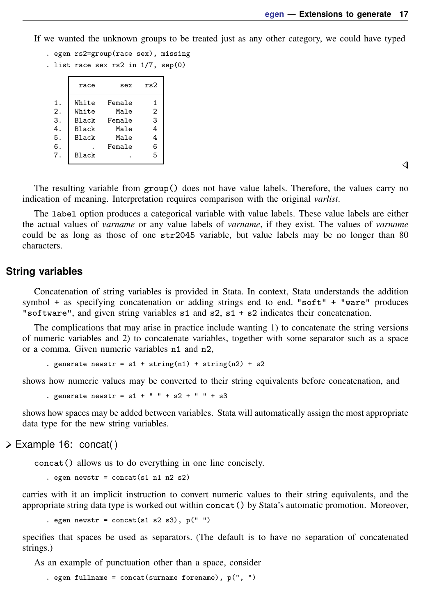If we wanted the unknown groups to be treated just as any other category, we could have typed

- . egen rs2=group(race sex), missing
- . list race sex rs2 in 1/7, sep(0)

|    | race         | sex    | rs2            |
|----|--------------|--------|----------------|
| 1. | White        | Female | 1              |
| 2. | White        | Male   | $\overline{2}$ |
| 3. | <b>Black</b> | Female | 3              |
| 4. | Black        | Male   | 4              |
| 5. | <b>Black</b> | Male   | 4              |
| 6. |              | Female | 6              |
| 7. | <b>Black</b> |        | 5              |
|    |              |        |                |

◁

The resulting variable from group() does not have value labels. Therefore, the values carry no indication of meaning. Interpretation requires comparison with the original *varlist*.

The label option produces a categorical variable with value labels. These value labels are either the actual values of *varname* or any value labels of *varname*, if they exist. The values of *varname* could be as long as those of one str2045 variable, but value labels may be no longer than 80 characters.

#### <span id="page-16-0"></span>**String variables**

Concatenation of string variables is provided in Stata. In context, Stata understands the addition symbol + as specifying concatenation or adding strings end to end. "soft" + "ware" produces "software", and given string variables s1 and s2, s1 + s2 indicates their concatenation.

The complications that may arise in practice include wanting 1) to concatenate the string versions of numeric variables and 2) to concatenate variables, together with some separator such as a space or a comma. Given numeric variables n1 and n2,

. generate newstr =  $s1 + string(n1) + string(n2) + s2$ 

shows how numeric values may be converted to their string equivalents before concatenation, and

. generate newstr =  $s1 + " " + s2 + " " + s3$ 

shows how spaces may be added between variables. Stata will automatically assign the most appropriate data type for the new string variables.

 $\triangleright$  Example 16: concat()

concat() allows us to do everything in one line concisely.

```
. egen newstr = concat(s1 n1 n2 s2)
```
carries with it an implicit instruction to convert numeric values to their string equivalents, and the appropriate string data type is worked out within concat() by Stata's automatic promotion. Moreover,

. egen newstr =  $concat(s1 s2 s3), p("")$ 

specifies that spaces be used as separators. (The default is to have no separation of concatenated strings.)

As an example of punctuation other than a space, consider

. egen fullname =  $concat(surname forename)$ ,  $p(", ")$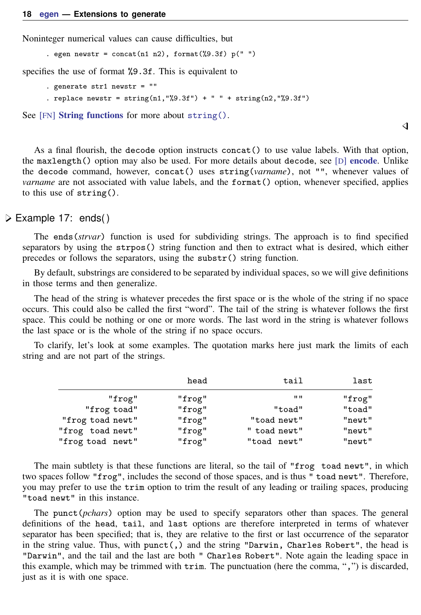Noninteger numerical values can cause difficulties, but

. egen newstr =  $concat(n1 n2)$ , format $(\frac{60}{3} \cdot 3f) p("")$ 

specifies the use of format %9.3f. This is equivalent to

```
. generate str1 newstr = ""
```

```
. replace newstr = string(n1,"%9.3f") + " " + string(n2,"%9.3f")
```
See [FN] [String functions](http://www.stata.com/manuals14/fnstringfunctions.pdf#fnStringfunctions) for more about [string\(\)](http://www.stata.com/manuals14/fnstringfunctions.pdf#fnStringfunctionsstring()).

As a final flourish, the decode option instructs concat() to use value labels. With that option, the maxlength() option may also be used. For more details about decode, see [D] [encode](http://www.stata.com/manuals14/dencode.pdf#dencode). Unlike the decode command, however, concat() uses string(*varname*), not "", whenever values of *varname* are not associated with value labels, and the format () option, whenever specified, applies to this use of string().

## Example 17: ends( )

The ends(*strvar*) function is used for subdividing strings. The approach is to find specified separators by using the strpos() string function and then to extract what is desired, which either precedes or follows the separators, using the substr() string function.

By default, substrings are considered to be separated by individual spaces, so we will give definitions in those terms and then generalize.

The head of the string is whatever precedes the first space or is the whole of the string if no space occurs. This could also be called the first "word". The tail of the string is whatever follows the first space. This could be nothing or one or more words. The last word in the string is whatever follows the last space or is the whole of the string if no space occurs.

To clarify, let's look at some examples. The quotation marks here just mark the limits of each string and are not part of the strings.

|                  | head   | tail         | last   |
|------------------|--------|--------------|--------|
| "frog"           | "frog" | <b>11 11</b> | "frog" |
| "frog toad"      | "frog" | "toad"       | "toad" |
| "frog toad newt" | "frog" | "toad newt"  | "newt" |
| "frog toad newt" | "frog" | " toad newt" | "newt" |
| "frog toad newt" | "frog" | "toad newt"  | "newt" |

The main subtlety is that these functions are literal, so the tail of "frog toad newt", in which two spaces follow "frog", includes the second of those spaces, and is thus " toad newt". Therefore, you may prefer to use the trim option to trim the result of any leading or trailing spaces, producing "toad newt" in this instance.

The punct(*pchars*) option may be used to specify separators other than spaces. The general definitions of the head, tail, and last options are therefore interpreted in terms of whatever separator has been specified; that is, they are relative to the first or last occurrence of the separator in the string value. Thus, with  $punct($ , and the string "Darwin, Charles Robert", the head is "Darwin", and the tail and the last are both " Charles Robert". Note again the leading space in this example, which may be trimmed with trim. The punctuation (here the comma, ",") is discarded, just as it is with one space.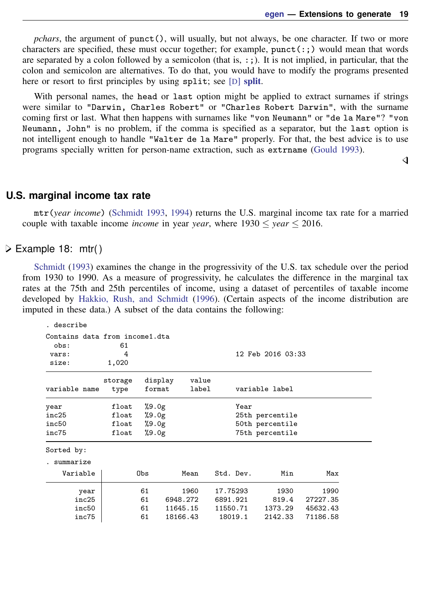*pchars*, the argument of punct(), will usually, but not always, be one character. If two or more characters are specified, these must occur together; for example,  $punct(:,:)$  would mean that words are separated by a colon followed by a semicolon (that is,  $\cdot$ ;). It is not implied, in particular, that the colon and semicolon are alternatives. To do that, you would have to modify the programs presented here or resort to first principles by using [split](http://www.stata.com/manuals14/dsplit.pdf#dsplit); see [D] split.

With personal names, the head or last option might be applied to extract surnames if strings were similar to "Darwin, Charles Robert" or "Charles Robert Darwin", with the surname coming first or last. What then happens with surnames like "von Neumann" or "de la Mare"? "von Neumann, John" is no problem, if the comma is specified as a separator, but the last option is not intelligent enough to handle "Walter de la Mare" properly. For that, the best advice is to use programs specially written for person-name extraction, such as extrname [\(Gould](#page-20-5) [1993\)](#page-20-5).

◁

## <span id="page-18-0"></span>**U.S. marginal income tax rate**

mtr(*year income*) ([Schmidt](#page-20-6) [1993](#page-20-6), [1994](#page-20-7)) returns the U.S. marginal income tax rate for a married couple with taxable income *income* in year *year*, where  $1930 \leq year \leq 2016$ .

## $\triangleright$  Example 18: mtr()

[Schmidt](#page-20-6) [\(1993](#page-20-6)) examines the change in the progressivity of the U.S. tax schedule over the period from 1930 to 1990. As a measure of progressivity, he calculates the difference in the marginal tax rates at the 75th and 25th percentiles of income, using a dataset of percentiles of taxable income developed by [Hakkio, Rush, and Schmidt](#page-20-8) ([1996\)](#page-20-8). (Certain aspects of the income distribution are imputed in these data.) A subset of the data contains the following:

| . describe                                               |                  |                   |                |           |      |                   |          |  |
|----------------------------------------------------------|------------------|-------------------|----------------|-----------|------|-------------------|----------|--|
| Contains data from income1.dta<br>obs:<br>vars:<br>size: | 61<br>4<br>1,020 |                   |                |           |      | 12 Feb 2016 03:33 |          |  |
| variable name                                            | storage<br>type  | display<br>format | value<br>label |           |      | variable label    |          |  |
| year                                                     | float            | %9.0g             |                |           | Year |                   |          |  |
| inc25                                                    | float            | %9.0g             |                |           |      | 25th percentile   |          |  |
| inc50                                                    | float            | %9.0g             |                |           |      | 50th percentile   |          |  |
| inc75                                                    | float            | %9.0g             |                |           |      | 75th percentile   |          |  |
| Sorted by:                                               |                  |                   |                |           |      |                   |          |  |
| summarize                                                |                  |                   |                |           |      |                   |          |  |
| Variable                                                 |                  | Obs               | Mean           | Std. Dev. |      | Min               | Max      |  |
| year                                                     |                  | 61                | 1960           | 17.75293  |      | 1930              | 1990     |  |
| inc25                                                    |                  | 61                | 6948.272       | 6891.921  |      | 819.4             | 27227.35 |  |
| inc50                                                    |                  | 61                | 11645.15       | 11550.71  |      | 1373.29           | 45632.43 |  |
| inc75                                                    |                  | 61                | 18166.43       | 18019.1   |      | 2142.33           | 71186.58 |  |
|                                                          |                  |                   |                |           |      |                   |          |  |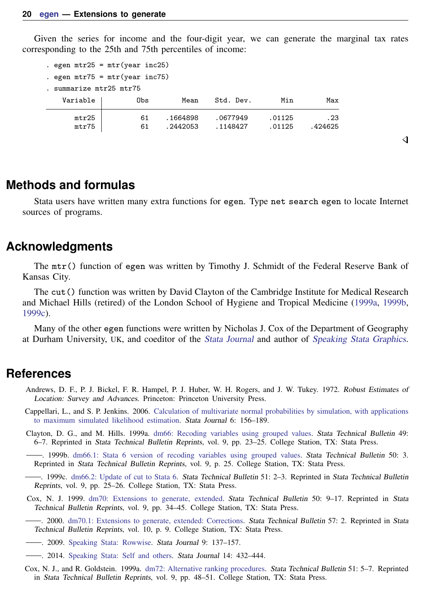Given the series for income and the four-digit year, we can generate the marginal tax rates corresponding to the 25th and 75th percentiles of income:

```
. egen mtr25 = mtr(year inc25)
```
- . egen  $mtr75 = mtr(year inc75)$
- . summarize mtr25 mtr75

| Variable | Obs | Mean     | Std. Dev. | Min    | Max     |
|----------|-----|----------|-----------|--------|---------|
| mtr25    | 61  | .1664898 | .0677949  | .01125 | . 23    |
| mtr75    | 61  | .2442053 | .1148427  | .01125 | .424625 |

# <span id="page-19-0"></span>**Methods and formulas**

<span id="page-19-1"></span>Stata users have written many extra functions for egen. Type net search egen to locate Internet sources of programs.

◁

# **Acknowledgments**

The mtr() function of egen was written by Timothy J. Schmidt of the Federal Reserve Bank of Kansas City.

The cut() function was written by David Clayton of the Cambridge Institute for Medical Research and Michael Hills (retired) of the London School of Hygiene and Tropical Medicine ([1999a,](#page-19-4) [1999b,](#page-19-5) [1999c](#page-19-6)).

<span id="page-19-2"></span>Many of the other egen functions were written by Nicholas J. Cox of the Department of Geography at Durham University, UK, and coeditor of the [Stata Journal](http://www.stata-journal.com/) and author of [Speaking Stata Graphics](http://www.stata-press.com/books/speaking-stata-graphics/).

# **References**

- <span id="page-19-3"></span>Andrews, D. F., P. J. Bickel, F. R. Hampel, P. J. Huber, W. H. Rogers, and J. W. Tukey. 1972. Robust Estimates of Location: Survey and Advances. Princeton: Princeton University Press.
- Cappellari, L., and S. P. Jenkins. 2006. [Calculation of multivariate normal probabilities by simulation, with applications](http://www.stata-journal.com/sjpdf.html?articlenum=st0101) [to maximum simulated likelihood estimation.](http://www.stata-journal.com/sjpdf.html?articlenum=st0101) Stata Journal 6: 156–189.
- <span id="page-19-4"></span>Clayton, D. G., and M. Hills. 1999a. [dm66: Recoding variables using grouped values](http://www.stata.com/products/stb/journals/stb49.pdf). Stata Technical Bulletin 49: 6–7. Reprinted in Stata Technical Bulletin Reprints, vol. 9, pp. 23–25. College Station, TX: Stata Press.
- <span id="page-19-5"></span>. 1999b. [dm66.1: Stata 6 version of recoding variables using grouped values](http://www.stata.com/products/stb/journals/stb50.pdf). Stata Technical Bulletin 50: 3. Reprinted in Stata Technical Bulletin Reprints, vol. 9, p. 25. College Station, TX: Stata Press.
- <span id="page-19-6"></span>. 1999c. [dm66.2: Update of cut to Stata 6](http://www.stata.com/products/stb/journals/stb51.pdf). Stata Technical Bulletin 51: 2–3. Reprinted in Stata Technical Bulletin Reprints, vol. 9, pp. 25–26. College Station, TX: Stata Press.
- Cox, N. J. 1999. [dm70: Extensions to generate, extended](http://www.stata.com/products/stb/journals/stb50.pdf). Stata Technical Bulletin 50: 9–17. Reprinted in Stata Technical Bulletin Reprints, vol. 9, pp. 34–45. College Station, TX: Stata Press.
- . 2000. [dm70.1: Extensions to generate, extended: Corrections](http://www.stata.com/products/stb/journals/stb57.pdf). Stata Technical Bulletin 57: 2. Reprinted in Stata Technical Bulletin Reprints, vol. 10, p. 9. College Station, TX: Stata Press.
- . 2009. [Speaking Stata: Rowwise.](http://www.stata-journal.com/sjpdf.html?articlenum=pr0046) Stata Journal 9: 137–157.
- . 2014. [Speaking Stata: Self and others](http://www.stata-journal.com/article.html?article=dm0075). Stata Journal 14: 432–444.
- Cox, N. J., and R. Goldstein. 1999a. [dm72: Alternative ranking procedures.](http://www.stata.com/products/stb/journals/stb51.pdf) Stata Technical Bulletin 51: 5–7. Reprinted in Stata Technical Bulletin Reprints, vol. 9, pp. 48–51. College Station, TX: Stata Press.